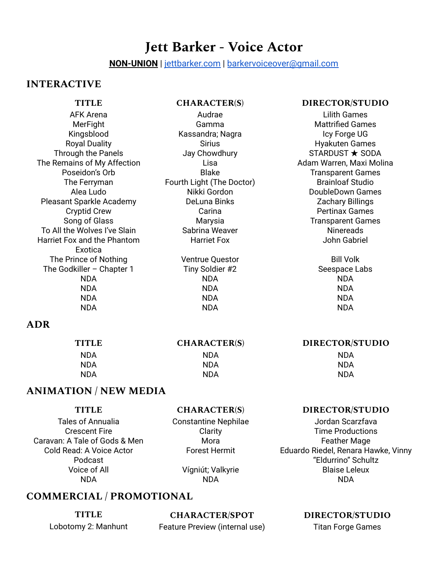# **Jett Barker - Voice Actor**

**NON-UNION** | [jettbarker.com](https://jettbarker.com/) | [barkervoiceover@gmail.com](mailto:barkervoiceover@gmail.com)

### **INTERACTIVE**

#### **CHARACTER(S)**

AFK Arena MerFight Kingsblood Royal Duality Through the Panels The Remains of My Affection Poseidon's Orb The Ferryman Alea Ludo Pleasant Sparkle Academy Cryptid Crew Song of Glass To All the Wolves I've Slain Harriet Fox and the Phantom Exotica The Prince of Nothing The Godkiller – Chapter 1 NDA NDA NDA NDA

**TITLE**

Audrae Gamma Kassandra; Nagra Sirius Jay Chowdhury Lisa Blake Fourth Light (The Doctor) Nikki Gordon DeLuna Binks Carina Marysia Sabrina Weaver Harriet Fox

> Ventrue Questor Tiny Soldier #2 NDA NDA NDA NDA

### **DIRECTOR/STUDIO**

Lilith Games Mattrified Games Icy Forge UG Hyakuten Games STARDUST ★ SODA Adam Warren, Maxi Molina Transparent Games Brainloaf Studio DoubleDown Games Zachary Billings Pertinax Games Transparent Games Ninereads John Gabriel

> Bill Volk Seespace Labs NDA NDA NDA NDA

**DIRECTOR/STUDIO** Jordan Scarzfava Time Productions Feather Mage Eduardo Riedel, Renara Hawke, Vinny "Eldurrino" Schultz Blaise Leleux NDA

### **ADR**

| TITLE      | <b>CHARACTER(S)</b> | <b>DIRECTOR/STUDIO</b> |
|------------|---------------------|------------------------|
| <b>NDA</b> | NDA                 | NDA                    |
| <b>NDA</b> | NDA                 | <b>NDA</b>             |
| <b>NDA</b> | NDA                 | <b>NDA</b>             |
|            |                     |                        |

### **ANIMATION / NEW MEDIA**

**TITLE**

#### **CHARACTER(S)**

Tales of Annualia Crescent Fire Caravan: A Tale of Gods & Men Cold Read: A Voice Actor Podcast Voice of All NDA

Constantine Nephilae **Clarity** Mora Forest Hermit

> Vígniút; Valkyrie NDA

### **COMMERCIAL / PROMOTIONAL**

**TITLE** Lobotomy 2: Manhunt **CHARACTER/SPOT**

**DIRECTOR/STUDIO**

Feature Preview (internal use)

Titan Forge Games